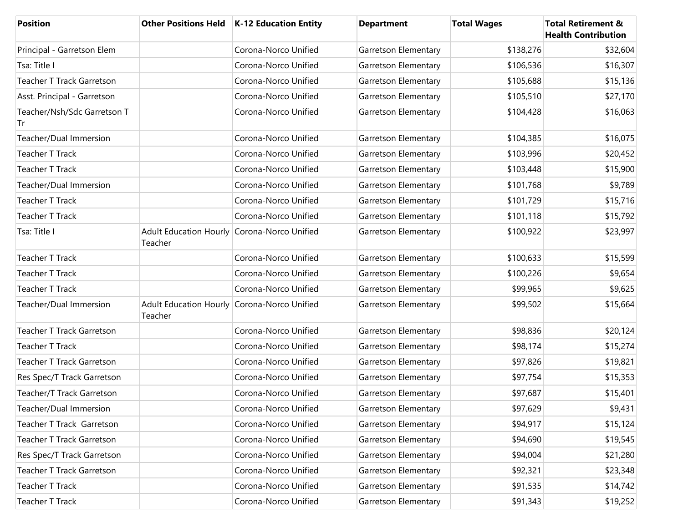| <b>Position</b>                   |                                          | Other Positions Held   K-12 Education Entity | <b>Department</b>    | <b>Total Wages</b> | <b>Total Retirement &amp;</b><br><b>Health Contribution</b> |
|-----------------------------------|------------------------------------------|----------------------------------------------|----------------------|--------------------|-------------------------------------------------------------|
| Principal - Garretson Elem        |                                          | Corona-Norco Unified                         | Garretson Elementary | \$138,276          | \$32,604                                                    |
| Tsa: Title I                      |                                          | Corona-Norco Unified                         | Garretson Elementary | \$106,536          | \$16,307                                                    |
| <b>Teacher T Track Garretson</b>  |                                          | Corona-Norco Unified                         | Garretson Elementary | \$105,688          | \$15,136                                                    |
| Asst. Principal - Garretson       |                                          | Corona-Norco Unified                         | Garretson Elementary | \$105,510          | \$27,170                                                    |
| Teacher/Nsh/Sdc Garretson T<br>Tr |                                          | Corona-Norco Unified                         | Garretson Elementary | \$104,428          | \$16,063                                                    |
| Teacher/Dual Immersion            |                                          | Corona-Norco Unified                         | Garretson Elementary | \$104,385          | \$16,075                                                    |
| <b>Teacher T Track</b>            |                                          | Corona-Norco Unified                         | Garretson Elementary | \$103,996          | \$20,452                                                    |
| <b>Teacher T Track</b>            |                                          | Corona-Norco Unified                         | Garretson Elementary | \$103,448          | \$15,900                                                    |
| Teacher/Dual Immersion            |                                          | Corona-Norco Unified                         | Garretson Elementary | \$101,768          | \$9,789                                                     |
| <b>Teacher T Track</b>            |                                          | Corona-Norco Unified                         | Garretson Elementary | \$101,729          | \$15,716                                                    |
| <b>Teacher T Track</b>            |                                          | Corona-Norco Unified                         | Garretson Elementary | \$101,118          | \$15,792                                                    |
| Tsa: Title I                      | <b>Adult Education Hourly</b><br>Teacher | Corona-Norco Unified                         | Garretson Elementary | \$100,922          | \$23,997                                                    |
| <b>Teacher T Track</b>            |                                          | Corona-Norco Unified                         | Garretson Elementary | \$100,633          | \$15,599                                                    |
| Teacher T Track                   |                                          | Corona-Norco Unified                         | Garretson Elementary | \$100,226          | \$9,654                                                     |
| <b>Teacher T Track</b>            |                                          | Corona-Norco Unified                         | Garretson Elementary | \$99,965           | \$9,625                                                     |
| Teacher/Dual Immersion            | <b>Adult Education Hourly</b><br>Teacher | Corona-Norco Unified                         | Garretson Elementary | \$99,502           | \$15,664                                                    |
| <b>Teacher T Track Garretson</b>  |                                          | Corona-Norco Unified                         | Garretson Elementary | \$98,836           | \$20,124                                                    |
| <b>Teacher T Track</b>            |                                          | Corona-Norco Unified                         | Garretson Elementary | \$98,174           | \$15,274                                                    |
| <b>Teacher T Track Garretson</b>  |                                          | Corona-Norco Unified                         | Garretson Elementary | \$97,826           | \$19,821                                                    |
| Res Spec/T Track Garretson        |                                          | Corona-Norco Unified                         | Garretson Elementary | \$97,754           | \$15,353                                                    |
| Teacher/T Track Garretson         |                                          | Corona-Norco Unified                         | Garretson Elementary | \$97,687           | \$15,401                                                    |
| Teacher/Dual Immersion            |                                          | Corona-Norco Unified                         | Garretson Elementary | \$97,629           | \$9,431                                                     |
| Teacher T Track Garretson         |                                          | Corona-Norco Unified                         | Garretson Elementary | \$94,917           | \$15,124                                                    |
| Teacher T Track Garretson         |                                          | Corona-Norco Unified                         | Garretson Elementary | \$94,690           | \$19,545                                                    |
| Res Spec/T Track Garretson        |                                          | Corona-Norco Unified                         | Garretson Elementary | \$94,004           | \$21,280                                                    |
| Teacher T Track Garretson         |                                          | Corona-Norco Unified                         | Garretson Elementary | \$92,321           | \$23,348                                                    |
| <b>Teacher T Track</b>            |                                          | Corona-Norco Unified                         | Garretson Elementary | \$91,535           | \$14,742                                                    |
| Teacher T Track                   |                                          | Corona-Norco Unified                         | Garretson Elementary | \$91,343           | \$19,252                                                    |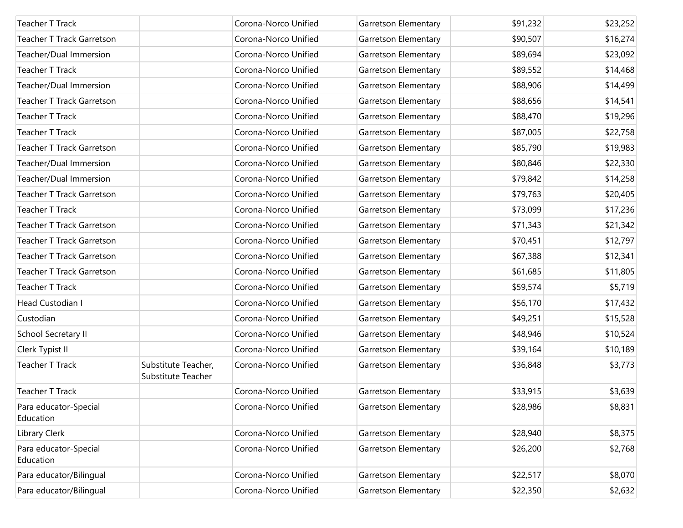| <b>Teacher T Track</b>             |                                           | Corona-Norco Unified | Garretson Elementary | \$91,232 | \$23,252 |
|------------------------------------|-------------------------------------------|----------------------|----------------------|----------|----------|
| Teacher T Track Garretson          |                                           | Corona-Norco Unified | Garretson Elementary | \$90,507 | \$16,274 |
| Teacher/Dual Immersion             |                                           | Corona-Norco Unified | Garretson Elementary | \$89,694 | \$23,092 |
| Teacher T Track                    |                                           | Corona-Norco Unified | Garretson Elementary | \$89,552 | \$14,468 |
| Teacher/Dual Immersion             |                                           | Corona-Norco Unified | Garretson Elementary | \$88,906 | \$14,499 |
| Teacher T Track Garretson          |                                           | Corona-Norco Unified | Garretson Elementary | \$88,656 | \$14,541 |
| Teacher T Track                    |                                           | Corona-Norco Unified | Garretson Elementary | \$88,470 | \$19,296 |
| Teacher T Track                    |                                           | Corona-Norco Unified | Garretson Elementary | \$87,005 | \$22,758 |
| <b>Teacher T Track Garretson</b>   |                                           | Corona-Norco Unified | Garretson Elementary | \$85,790 | \$19,983 |
| Teacher/Dual Immersion             |                                           | Corona-Norco Unified | Garretson Elementary | \$80,846 | \$22,330 |
| Teacher/Dual Immersion             |                                           | Corona-Norco Unified | Garretson Elementary | \$79,842 | \$14,258 |
| Teacher T Track Garretson          |                                           | Corona-Norco Unified | Garretson Elementary | \$79,763 | \$20,405 |
| Teacher T Track                    |                                           | Corona-Norco Unified | Garretson Elementary | \$73,099 | \$17,236 |
| <b>Teacher T Track Garretson</b>   |                                           | Corona-Norco Unified | Garretson Elementary | \$71,343 | \$21,342 |
| <b>Teacher T Track Garretson</b>   |                                           | Corona-Norco Unified | Garretson Elementary | \$70,451 | \$12,797 |
| <b>Teacher T Track Garretson</b>   |                                           | Corona-Norco Unified | Garretson Elementary | \$67,388 | \$12,341 |
| <b>Teacher T Track Garretson</b>   |                                           | Corona-Norco Unified | Garretson Elementary | \$61,685 | \$11,805 |
| Teacher T Track                    |                                           | Corona-Norco Unified | Garretson Elementary | \$59,574 | \$5,719  |
| Head Custodian I                   |                                           | Corona-Norco Unified | Garretson Elementary | \$56,170 | \$17,432 |
| Custodian                          |                                           | Corona-Norco Unified | Garretson Elementary | \$49,251 | \$15,528 |
| School Secretary II                |                                           | Corona-Norco Unified | Garretson Elementary | \$48,946 | \$10,524 |
| Clerk Typist II                    |                                           | Corona-Norco Unified | Garretson Elementary | \$39,164 | \$10,189 |
| Teacher T Track                    | Substitute Teacher,<br>Substitute Teacher | Corona-Norco Unified | Garretson Elementary | \$36,848 | \$3,773  |
| <b>Teacher T Track</b>             |                                           | Corona-Norco Unified | Garretson Elementary | \$33,915 | \$3,639  |
| Para educator-Special<br>Education |                                           | Corona-Norco Unified | Garretson Elementary | \$28,986 | \$8,831  |
| Library Clerk                      |                                           | Corona-Norco Unified | Garretson Elementary | \$28,940 | \$8,375  |
| Para educator-Special<br>Education |                                           | Corona-Norco Unified | Garretson Elementary | \$26,200 | \$2,768  |
| Para educator/Bilingual            |                                           | Corona-Norco Unified | Garretson Elementary | \$22,517 | \$8,070  |
| Para educator/Bilingual            |                                           | Corona-Norco Unified | Garretson Elementary | \$22,350 | \$2,632  |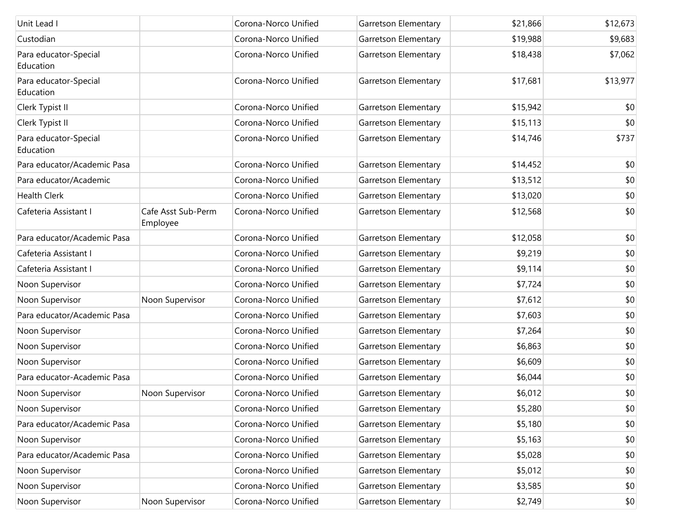| Unit Lead I                        |                                | Corona-Norco Unified | Garretson Elementary | \$21,866 | \$12,673 |
|------------------------------------|--------------------------------|----------------------|----------------------|----------|----------|
| Custodian                          |                                | Corona-Norco Unified | Garretson Elementary | \$19,988 | \$9,683  |
| Para educator-Special<br>Education |                                | Corona-Norco Unified | Garretson Elementary | \$18,438 | \$7,062  |
| Para educator-Special<br>Education |                                | Corona-Norco Unified | Garretson Elementary | \$17,681 | \$13,977 |
| Clerk Typist II                    |                                | Corona-Norco Unified | Garretson Elementary | \$15,942 | \$0      |
| Clerk Typist II                    |                                | Corona-Norco Unified | Garretson Elementary | \$15,113 | \$0      |
| Para educator-Special<br>Education |                                | Corona-Norco Unified | Garretson Elementary | \$14,746 | \$737    |
| Para educator/Academic Pasa        |                                | Corona-Norco Unified | Garretson Elementary | \$14,452 | \$0      |
| Para educator/Academic             |                                | Corona-Norco Unified | Garretson Elementary | \$13,512 | \$0      |
| <b>Health Clerk</b>                |                                | Corona-Norco Unified | Garretson Elementary | \$13,020 | \$0      |
| Cafeteria Assistant I              | Cafe Asst Sub-Perm<br>Employee | Corona-Norco Unified | Garretson Elementary | \$12,568 | \$0      |
| Para educator/Academic Pasa        |                                | Corona-Norco Unified | Garretson Elementary | \$12,058 | \$0      |
| Cafeteria Assistant I              |                                | Corona-Norco Unified | Garretson Elementary | \$9,219  | \$0      |
| Cafeteria Assistant I              |                                | Corona-Norco Unified | Garretson Elementary | \$9,114  | \$0      |
| Noon Supervisor                    |                                | Corona-Norco Unified | Garretson Elementary | \$7,724  | \$0      |
| Noon Supervisor                    | Noon Supervisor                | Corona-Norco Unified | Garretson Elementary | \$7,612  | \$0      |
| Para educator/Academic Pasa        |                                | Corona-Norco Unified | Garretson Elementary | \$7,603  | \$0      |
| Noon Supervisor                    |                                | Corona-Norco Unified | Garretson Elementary | \$7,264  | \$0      |
| Noon Supervisor                    |                                | Corona-Norco Unified | Garretson Elementary | \$6,863  | \$0      |
| Noon Supervisor                    |                                | Corona-Norco Unified | Garretson Elementary | \$6,609  | \$0      |
| Para educator-Academic Pasa        |                                | Corona-Norco Unified | Garretson Elementary | \$6,044  | \$0      |
| Noon Supervisor                    | Noon Supervisor                | Corona-Norco Unified | Garretson Elementary | \$6,012  | \$0      |
| Noon Supervisor                    |                                | Corona-Norco Unified | Garretson Elementary | \$5,280  | \$0      |
| Para educator/Academic Pasa        |                                | Corona-Norco Unified | Garretson Elementary | \$5,180  | \$0      |
| Noon Supervisor                    |                                | Corona-Norco Unified | Garretson Elementary | \$5,163  | \$0      |
| Para educator/Academic Pasa        |                                | Corona-Norco Unified | Garretson Elementary | \$5,028  | \$0      |
| Noon Supervisor                    |                                | Corona-Norco Unified | Garretson Elementary | \$5,012  | \$0      |
| Noon Supervisor                    |                                | Corona-Norco Unified | Garretson Elementary | \$3,585  | \$0      |
| Noon Supervisor                    | Noon Supervisor                | Corona-Norco Unified | Garretson Elementary | \$2,749  | \$0      |